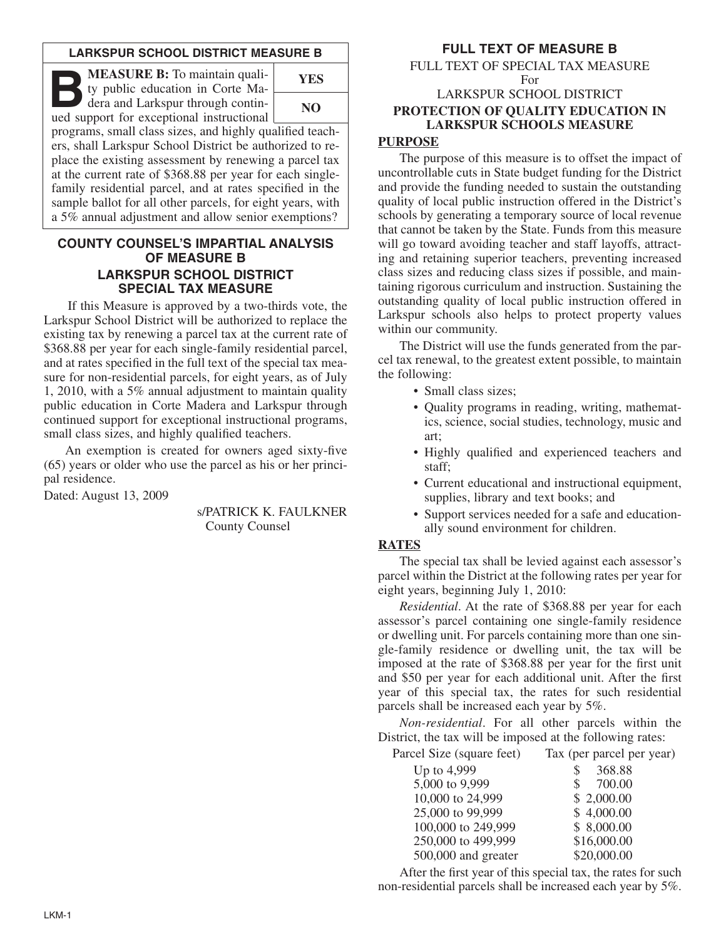### **LARKSPUR SCHOOL DISTRICT MEASURE B**

**B:** To maintain quality public education in Corte Madera and Larkspur through continued ty public education in Corte Maued support for exceptional instructional



programs, small class sizes, and highly qualified teachers, shall Larkspur School District be authorized to replace the existing assessment by renewing a parcel tax at the current rate of \$368.88 per year for each singlefamily residential parcel, and at rates specified in the sample ballot for all other parcels, for eight years, with a 5% annual adjustment and allow senior exemptions?

### **COUNTY COUNSEL'S IMPARTIAL ANALYSIS OF MEASURE B LARKSPUR SCHOOL DISTRICT SPECIAL TAX MEASURE**

If this Measure is approved by a two-thirds vote, the Larkspur School District will be authorized to replace the existing tax by renewing a parcel tax at the current rate of \$368.88 per year for each single-family residential parcel, and at rates specified in the full text of the special tax measure for non-residential parcels, for eight years, as of July 1, 2010, with a 5% annual adjustment to maintain quality public education in Corte Madera and Larkspur through continued support for exceptional instructional programs, small class sizes, and highly qualified teachers.

An exemption is created for owners aged sixty-five (65) years or older who use the parcel as his or her principal residence.

Dated: August 13, 2009

s/PATRICK K. FAULKNER County Counsel

# **FULL TEXT OF MEASURE B**

FULL TEXT OF SPECIAL TAX MEASURE For

# LARKSPUR SCHOOL DISTRICT **PROTECTION OF QUALITY EDUCATION IN LARKSPUR SCHOOLS MEASURE**

# **PURPOSE**

The purpose of this measure is to offset the impact of uncontrollable cuts in State budget funding for the District and provide the funding needed to sustain the outstanding quality of local public instruction offered in the District's schools by generating a temporary source of local revenue that cannot be taken by the State. Funds from this measure will go toward avoiding teacher and staff layoffs, attracting and retaining superior teachers, preventing increased class sizes and reducing class sizes if possible, and maintaining rigorous curriculum and instruction. Sustaining the outstanding quality of local public instruction offered in Larkspur schools also helps to protect property values within our community.

The District will use the funds generated from the parcel tax renewal, to the greatest extent possible, to maintain the following:

- Small class sizes;
- Quality programs in reading, writing, mathematics, science, social studies, technology, music and art;
- Highly qualified and experienced teachers and staff;
- Current educational and instructional equipment, supplies, library and text books; and
- Support services needed for a safe and educationally sound environment for children.

### **RATES**

The special tax shall be levied against each assessor's parcel within the District at the following rates per year for eight years, beginning July 1, 2010:

*Residential*. At the rate of \$368.88 per year for each assessor's parcel containing one single-family residence or dwelling unit. For parcels containing more than one single-family residence or dwelling unit, the tax will be imposed at the rate of \$368.88 per year for the first unit and \$50 per year for each additional unit. After the first year of this special tax, the rates for such residential parcels shall be increased each year by 5%.

*Non-residential*. For all other parcels within the District, the tax will be imposed at the following rates:

|  | Parcel Size (square feet) |  |  | Tax (per parcel per year) |
|--|---------------------------|--|--|---------------------------|
|--|---------------------------|--|--|---------------------------|

| Up to 4,999         | 368.88<br>\$             |
|---------------------|--------------------------|
| 5,000 to 9,999      | 700.00<br>$\mathbb{S}^-$ |
| 10,000 to 24,999    | \$2,000.00               |
| 25,000 to 99,999    | \$4,000.00               |
| 100,000 to 249,999  | \$8,000.00               |
| 250,000 to 499,999  | \$16,000.00              |
| 500,000 and greater | \$20,000.00              |
|                     |                          |

After the first year of this special tax, the rates for such non-residential parcels shall be increased each year by 5%.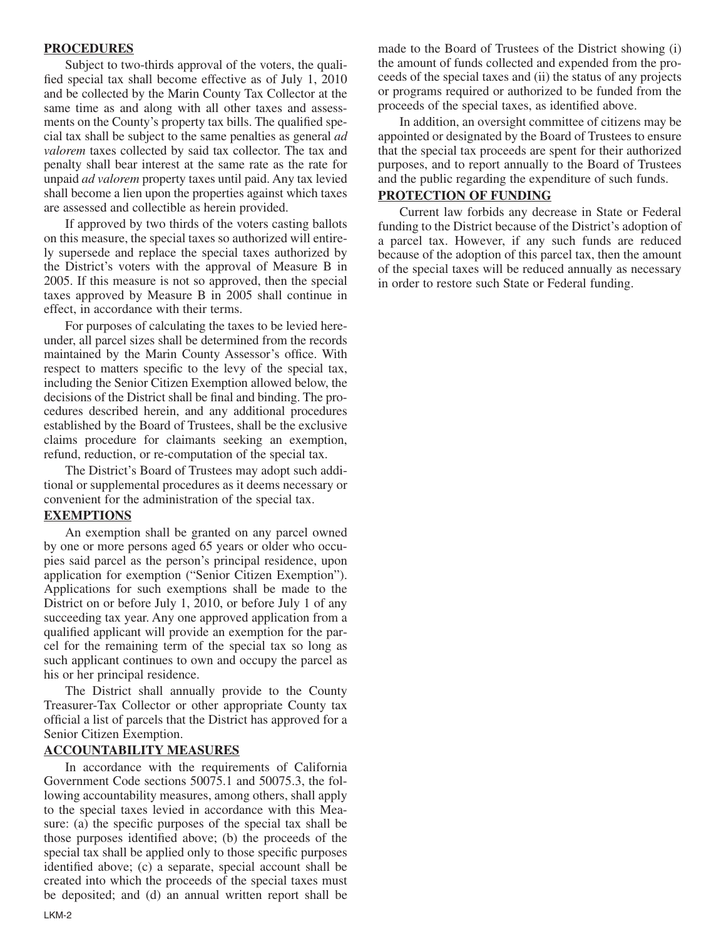### **PROCEDURES**

Subject to two-thirds approval of the voters, the qualified special tax shall become effective as of July 1, 2010 and be collected by the Marin County Tax Collector at the same time as and along with all other taxes and assessments on the County's property tax bills. The qualified special tax shall be subject to the same penalties as general *ad valorem* taxes collected by said tax collector. The tax and penalty shall bear interest at the same rate as the rate for unpaid *ad valorem* property taxes until paid. Any tax levied shall become a lien upon the properties against which taxes are assessed and collectible as herein provided.

If approved by two thirds of the voters casting ballots on this measure, the special taxes so authorized will entirely supersede and replace the special taxes authorized by the District's voters with the approval of Measure B in 2005. If this measure is not so approved, then the special taxes approved by Measure B in 2005 shall continue in effect, in accordance with their terms.

For purposes of calculating the taxes to be levied hereunder, all parcel sizes shall be determined from the records maintained by the Marin County Assessor's office. With respect to matters specific to the levy of the special tax, including the Senior Citizen Exemption allowed below, the decisions of the District shall be final and binding. The procedures described herein, and any additional procedures established by the Board of Trustees, shall be the exclusive claims procedure for claimants seeking an exemption, refund, reduction, or re-computation of the special tax.

The District's Board of Trustees may adopt such additional or supplemental procedures as it deems necessary or convenient for the administration of the special tax.

#### **EXEMPTIONS**

An exemption shall be granted on any parcel owned by one or more persons aged 65 years or older who occupies said parcel as the person's principal residence, upon application for exemption ("Senior Citizen Exemption"). Applications for such exemptions shall be made to the District on or before July 1, 2010, or before July 1 of any succeeding tax year. Any one approved application from a qualified applicant will provide an exemption for the parcel for the remaining term of the special tax so long as such applicant continues to own and occupy the parcel as his or her principal residence.

The District shall annually provide to the County Treasurer-Tax Collector or other appropriate County tax official a list of parcels that the District has approved for a Senior Citizen Exemption.

### **ACCOUNTABILITY MEASURES**

In accordance with the requirements of California Government Code sections 50075.1 and 50075.3, the following accountability measures, among others, shall apply to the special taxes levied in accordance with this Measure: (a) the specific purposes of the special tax shall be those purposes identified above; (b) the proceeds of the special tax shall be applied only to those specific purposes identified above; (c) a separate, special account shall be created into which the proceeds of the special taxes must be deposited; and (d) an annual written report shall be made to the Board of Trustees of the District showing (i) the amount of funds collected and expended from the proceeds of the special taxes and (ii) the status of any projects or programs required or authorized to be funded from the proceeds of the special taxes, as identified above.

In addition, an oversight committee of citizens may be appointed or designated by the Board of Trustees to ensure that the special tax proceeds are spent for their authorized purposes, and to report annually to the Board of Trustees and the public regarding the expenditure of such funds.

### **PROTECTION OF FUNDING**

Current law forbids any decrease in State or Federal funding to the District because of the District's adoption of a parcel tax. However, if any such funds are reduced because of the adoption of this parcel tax, then the amount of the special taxes will be reduced annually as necessary in order to restore such State or Federal funding.